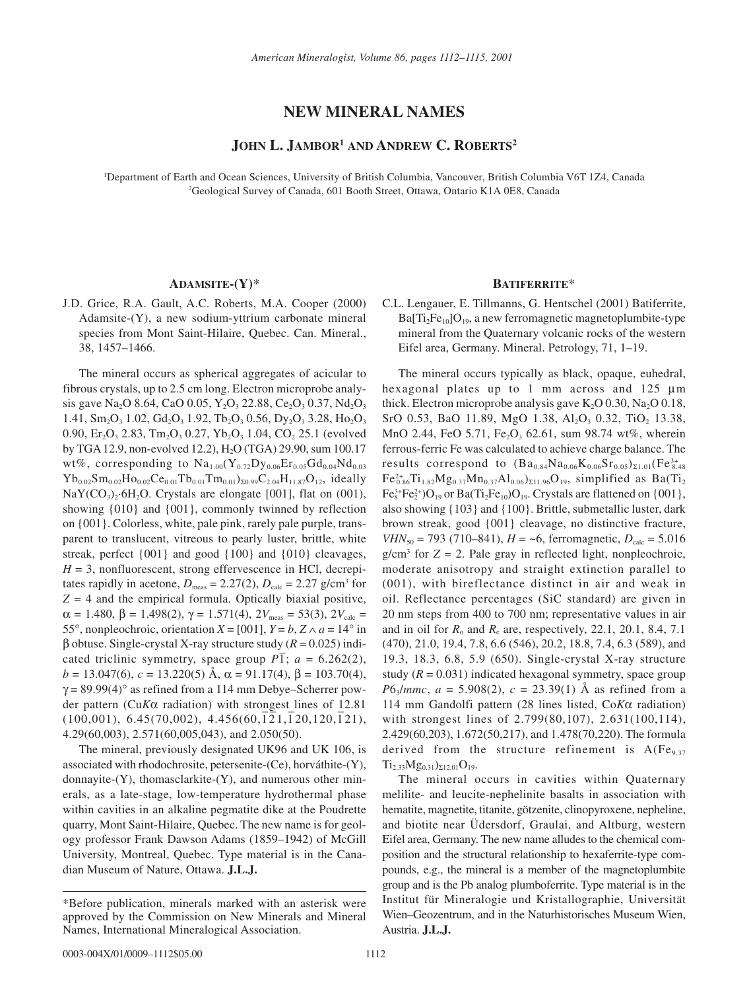# **NEW MINERAL NAMES**

# **JOHN L. JAMBOR1 AND ANDREW C. ROBERTS2**

1 Department of Earth and Ocean Sciences, University of British Columbia, Vancouver, British Columbia V6T 1Z4, Canada 2 Geological Survey of Canada, 601 Booth Street, Ottawa, Ontario K1A 0E8, Canada

# **ADAMSITE-(Y)**\*

J.D. Grice, R.A. Gault, A.C. Roberts, M.A. Cooper (2000) Adamsite-(Y), a new sodium-yttrium carbonate mineral species from Mont Saint-Hilaire, Quebec. Can. Mineral., 38, 1457–1466.

The mineral occurs as spherical aggregates of acicular to fibrous crystals, up to 2.5 cm long. Electron microprobe analysis gave Na<sub>2</sub>O 8.64, CaO 0.05, Y<sub>2</sub>O<sub>3</sub> 22.88, Ce<sub>2</sub>O<sub>3</sub> 0.37, Nd<sub>2</sub>O<sub>3</sub> 1.41,  $Sm_2O_3$  1.02,  $Gd_2O_3$  1.92,  $Tb_2O_3$  0.56,  $Dy_2O_3$  3.28,  $Ho_2O_3$ 0.90,  $Er_2O_3$  2.83,  $Tm_2O_3$  0.27,  $Yb_2O_3$  1.04,  $CO_2$  25.1 (evolved by TGA 12.9, non-evolved 12.2), H2O (TGA) 29.90, sum 100.17 wt%, corresponding to  $Na_{1.00}(Y_{0.72}Dy_{0.06}Er_{0.05}Gd_{0.04}Nd_{0.03}$  $Yb_{0.02}Sm_{0.02}Ho_{0.02}Ce_{0.01}Tb_{0.01}Tm_{0.01})_{\Sigma0.99}C_{2.04}H_{11.87}O_{12}$ , ideally  $NaY(CO<sub>3</sub>)<sub>2</sub>·6H<sub>2</sub>O$ . Crystals are elongate [001], flat on (001), showing {010} and {001}, commonly twinned by reflection on {001}. Colorless, white, pale pink, rarely pale purple, transparent to translucent, vitreous to pearly luster, brittle, white streak, perfect {001} and good {100} and {010} cleavages,  $H = 3$ , nonfluorescent, strong effervescence in HCl, decrepitates rapidly in acetone,  $D_{\text{meas}} = 2.27(2)$ ,  $D_{\text{calc}} = 2.27$  g/cm<sup>3</sup> for  $Z = 4$  and the empirical formula. Optically biaxial positive,  $\alpha = 1.480, \beta = 1.498(2), \gamma = 1.571(4), 2V_{meas} = 53(3), 2V_{calc} =$ 55°, nonpleochroic, orientation  $X = [001]$ ,  $Y = b$ ,  $Z \wedge a = 14^\circ$  in β obtuse. Single-crystal X-ray structure study (*R* = 0.025) indicated triclinic symmetry, space group  $P\overline{1}$ ;  $a = 6.262(2)$ ,  $b = 13.047(6)$ ,  $c = 13.220(5)$  Å,  $\alpha = 91.17(4)$ ,  $\beta = 103.70(4)$ ,  $\gamma$  = 89.99(4)° as refined from a 114 mm Debye–Scherrer powder pattern (Cu*K*α radiation) with strongest lines of 12.81  $(100,001)$ , 6.45(70,002), 4.456(60,121,120,120,121), 4.29(60,003), 2.571(60,005,043), and 2.050(50).

The mineral, previously designated UK96 and UK 106, is associated with rhodochrosite, petersenite-(Ce), horváthite-(Y), donnayite-(Y), thomasclarkite-(Y), and numerous other minerals, as a late-stage, low-temperature hydrothermal phase within cavities in an alkaline pegmatite dike at the Poudrette quarry, Mont Saint-Hilaire, Quebec. The new name is for geology professor Frank Dawson Adams (1859–1942) of McGill University, Montreal, Quebec. Type material is in the Canadian Museum of Nature, Ottawa. **J.L.J.**

## **BATIFERRITE**\*

C.L. Lengauer, E. Tillmanns, G. Hentschel (2001) Batiferrite,  $Ba[Ti<sub>2</sub>Fe<sub>10</sub>]O<sub>19</sub>$ , a new ferromagnetic magnetoplumbite-type mineral from the Quaternary volcanic rocks of the western Eifel area, Germany. Mineral. Petrology, 71, 1–19.

The mineral occurs typically as black, opaque, euhedral, hexagonal plates up to 1 mm across and 125 µm thick. Electron microprobe analysis gave  $K_2O(0.30, Na_2O(0.18,$ SrO 0.53, BaO 11.89, MgO 1.38, Al<sub>2</sub>O<sub>3</sub> 0.32, TiO<sub>2</sub> 13.38, MnO 2.44, FeO 5.71, Fe<sub>2</sub>O<sub>3</sub> 62.61, sum 98.74 wt%, wherein ferrous-ferric Fe was calculated to achieve charge balance. The results correspond to  $(Ba_{0.84}Na_{0.06}K_{0.06}Sr_{0.05})_{\Sigma1.01}(Fe_{8.48}^{3+}$  $Fe^{2+}_{0.86}Ti_{1.82}Mg_{0.37}Mn_{0.37}Al_{0.06}S_{211.96}O_{19}$ , simplified as Ba(Ti<sub>2</sub>  $\text{Fe}_8^{3+}\text{Fe}_2^{2+} \text{O}_{19}$  or Ba(Ti<sub>2</sub>Fe<sub>10</sub>)O<sub>19</sub>. Crystals are flattened on {001}, also showing {103} and {100}. Brittle, submetallic luster, dark brown streak, good {001} cleavage, no distinctive fracture, *VHN*<sub>50</sub> = 793 (710–841),  $H = -6$ , ferromagnetic,  $D_{\text{calc}} = 5.016$  $g/cm<sup>3</sup>$  for  $Z = 2$ . Pale gray in reflected light, nonpleochroic, moderate anisotropy and straight extinction parallel to (001), with bireflectance distinct in air and weak in oil. Reflectance percentages (SiC standard) are given in 20 nm steps from 400 to 700 nm; representative values in air and in oil for  $R_0$  and  $R_e$  are, respectively, 22.1, 20.1, 8.4, 7.1 (470), 21.0, 19.4, 7.8, 6.6 (546), 20.2, 18.8, 7.4, 6.3 (589), and 19.3, 18.3, 6.8, 5.9 (650). Single-crystal X-ray structure study  $(R = 0.031)$  indicated hexagonal symmetry, space group *P*6<sub>3</sub>/*mmc*,  $a = 5.908(2)$ ,  $c = 23.39(1)$  Å as refined from a 114 mm Gandolfi pattern (28 lines listed, Co*K*α radiation) with strongest lines of 2.799(80,107), 2.631(100,114), 2.429(60,203), 1.672(50,217), and 1.478(70,220). The formula derived from the structure refinement is  $A(Fe_{9,37})$  $Ti_{2,33}Mg_{0,31}S_{212.01}O_{19}.$ 

The mineral occurs in cavities within Quaternary melilite- and leucite-nephelinite basalts in association with hematite, magnetite, titanite, götzenite, clinopyroxene, nepheline, and biotite near Üdersdorf, Graulai, and Altburg, western Eifel area, Germany. The new name alludes to the chemical composition and the structural relationship to hexaferrite-type compounds, e.g., the mineral is a member of the magnetoplumbite group and is the Pb analog plumboferrite. Type material is in the Institut für Mineralogie und Kristallographie, Universität Wien–Geozentrum, and in the Naturhistorisches Museum Wien, Austria. **J.L.J.**

<sup>\*</sup>Before publication, minerals marked with an asterisk were approved by the Commission on New Minerals and Mineral Names, International Mineralogical Association.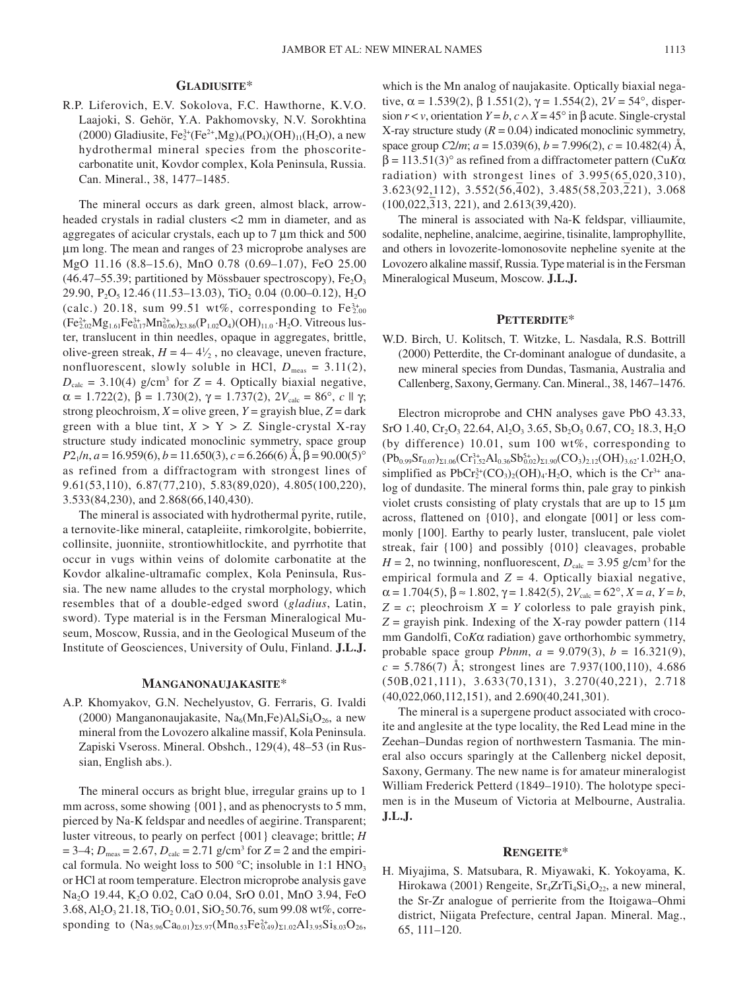## **GLADIUSITE**\*

R.P. Liferovich, E.V. Sokolova, F.C. Hawthorne, K.V.O. Laajoki, S. Gehör, Y.A. Pakhomovsky, N.V. Sorokhtina (2000) Gladiusite,  $Fe_2^{3+}(Fe^{2+}, Mg)_4(PO_4)(OH)_{11}(H_2O)$ , a new hydrothermal mineral species from the phoscoritecarbonatite unit, Kovdor complex, Kola Peninsula, Russia. Can. Mineral., 38, 1477–1485.

The mineral occurs as dark green, almost black, arrowheaded crystals in radial clusters <2 mm in diameter, and as aggregates of acicular crystals, each up to 7 µm thick and 500 µm long. The mean and ranges of 23 microprobe analyses are MgO 11.16 (8.8–15.6), MnO 0.78 (0.69–1.07), FeO 25.00 (46.47–55.39; partitioned by Mössbauer spectroscopy),  $Fe<sub>2</sub>O<sub>3</sub>$ 29.90,  $P_2O_5$  12.46 (11.53–13.03), TiO<sub>2</sub> 0.04 (0.00–0.12), H<sub>2</sub>O (calc.) 20.18, sum 99.51 wt%, corresponding to  $Fe^{3+}_{2.00}$  $(Fe_{2.02}^{2+}Mg_{1.61}Fe_{0.17}^{3+}Mn_{0.06}^{2+})_{\Sigma3.86}(P_{1.02}O_4)(OH)_{11.0} \cdot H_2O$ . Vitreous luster, translucent in thin needles, opaque in aggregates, brittle, olive-green streak,  $H = 4-4\frac{1}{2}$ , no cleavage, uneven fracture, nonfluorescent, slowly soluble in HCl,  $D_{\text{meas}} = 3.11(2)$ ,  $D_{\text{calc}} = 3.10(4)$  g/cm<sup>3</sup> for  $Z = 4$ . Optically biaxial negative,  $\alpha = 1.722(2), \beta = 1.730(2), \gamma = 1.737(2), 2V_{\text{calc}} = 86^{\circ}, c \parallel \gamma;$ strong pleochroism,  $X =$  olive green,  $Y =$  grayish blue,  $Z =$  dark green with a blue tint,  $X > Y > Z$ . Single-crystal X-ray structure study indicated monoclinic symmetry, space group  $P2_1/n$ , *a* = 16.959(6), *b* = 11.650(3), *c* = 6.266(6) Å,  $\beta$  = 90.00(5)° as refined from a diffractogram with strongest lines of 9.61(53,110), 6.87(77,210), 5.83(89,020), 4.805(100,220), 3.533(84,230), and 2.868(66,140,430).

The mineral is associated with hydrothermal pyrite, rutile, a ternovite-like mineral, catapleiite, rimkorolgite, bobierrite, collinsite, juonniite, strontiowhitlockite, and pyrrhotite that occur in vugs within veins of dolomite carbonatite at the Kovdor alkaline-ultramafic complex, Kola Peninsula, Russia. The new name alludes to the crystal morphology, which resembles that of a double-edged sword (*gladius*, Latin, sword). Type material is in the Fersman Mineralogical Museum, Moscow, Russia, and in the Geological Museum of the Institute of Geosciences, University of Oulu, Finland. **J.L.J.**

#### **MANGANONAUJAKASITE**\*

A.P. Khomyakov, G.N. Nechelyustov, G. Ferraris, G. Ivaldi (2000) Manganonaujakasite, Na<sub>6</sub>(Mn,Fe)Al<sub>4</sub>Si<sub>8</sub>O<sub>26</sub>, a new mineral from the Lovozero alkaline massif, Kola Peninsula. Zapiski Vseross. Mineral. Obshch., 129(4), 48–53 (in Russian, English abs.).

The mineral occurs as bright blue, irregular grains up to 1 mm across, some showing  $\{001\}$ , and as phenocrysts to 5 mm, pierced by Na-K feldspar and needles of aegirine. Transparent; luster vitreous, to pearly on perfect {001} cleavage; brittle; *H*  $= 3-4; D_{\text{meas}} = 2.67, D_{\text{calc}} = 2.71$  g/cm<sup>3</sup> for  $Z = 2$  and the empirical formula. No weight loss to 500  $^{\circ}$ C; insoluble in 1:1 HNO<sub>3</sub> or HCl at room temperature. Electron microprobe analysis gave Na<sub>2</sub>O 19.44, K<sub>2</sub>O 0.02, CaO 0.04, SrO 0.01, MnO 3.94, FeO  $3.68, Al<sub>2</sub>O<sub>3</sub> 21.18, TiO<sub>2</sub> 0.01, SiO<sub>2</sub> 50.76, sum 99.08 wt%, corre$ sponding to  $(Na_{5.96}Ca_{0.01})_{\Sigma5.97}(Mn_{0.53}Fe_{0.49}^{2+})_{\Sigma1.02}Al_{3.95}Si_{8.03}O_{26},$  which is the Mn analog of naujakasite. Optically biaxial negative,  $\alpha = 1.539(2)$ ,  $\beta$  1.551(2),  $\gamma = 1.554(2)$ ,  $2V = 54^{\circ}$ , dispersion  $r < v$ , orientation  $Y = b$ ,  $c \wedge X = 45^\circ$  in  $\beta$  acute. Single-crystal X-ray structure study  $(R = 0.04)$  indicated monoclinic symmetry, space group *C*2/*m*;  $a = 15.039(6)$ ,  $b = 7.996(2)$ ,  $c = 10.482(4)$  Å, β = 113.51(3)° as refined from a diffractometer pattern (Cu*K*α radiation) with strongest lines of 3.995(65,020,310), adiation) with strongest fines of 3.333(63,2020,310),<br>3.623(92,112), 3.552(56,402), 3.485(58,203,221), 3.068  $(100,022,313, 221)$ , and  $2.613(39,420)$ .

The mineral is associated with Na-K feldspar, villiaumite, sodalite, nepheline, analcime, aegirine, tisinalite, lamprophyllite, and others in lovozerite-lomonosovite nepheline syenite at the Lovozero alkaline massif, Russia. Type material is in the Fersman Mineralogical Museum, Moscow. **J.L.J.**

#### **PETTERDITE**\*

W.D. Birch, U. Kolitsch, T. Witzke, L. Nasdala, R.S. Bottrill (2000) Petterdite, the Cr-dominant analogue of dundasite, a new mineral species from Dundas, Tasmania, Australia and Callenberg, Saxony, Germany. Can. Mineral., 38, 1467–1476.

Electron microprobe and CHN analyses gave PbO 43.33, SrO 1.40, Cr<sub>2</sub>O<sub>3</sub> 22.64, Al<sub>2</sub>O<sub>3</sub> 3.65, Sb<sub>2</sub>O<sub>5</sub> 0.67, CO<sub>2</sub> 18.3, H<sub>2</sub>O (by difference) 10.01, sum 100 wt%, corresponding to  $({\rm Pb}_{0.99}{\rm Sr}_{0.07})_{\Sigma1.06}({\rm Cr}_{1.52}^{3+}{\rm Al}_{0.36}{\rm Sb}_{0.02}^{5+})_{\Sigma1.90}({\rm CO}_3)_{2.12}({\rm OH})_{3.62}.1.02{\rm H}_2{\rm O},$ simplified as  $PbCr_2^{3+}(CO_3)_2(OH)_4 \cdot H_2O$ , which is the  $Cr^{3+}$  analog of dundasite. The mineral forms thin, pale gray to pinkish violet crusts consisting of platy crystals that are up to 15 µm across, flattened on {010}, and elongate [001] or less commonly [100]. Earthy to pearly luster, translucent, pale violet streak, fair {100} and possibly {010} cleavages, probable  $H = 2$ , no twinning, nonfluorescent,  $D_{\text{calc}} = 3.95$  g/cm<sup>3</sup> for the empirical formula and  $Z = 4$ . Optically biaxial negative,  $\alpha = 1.704(5)$ ,  $\beta \approx 1.802$ ,  $\gamma = 1.842(5)$ ,  $2V_{\text{calc}} = 62^{\circ}$ ,  $X = a$ ,  $Y = b$ ,  $Z = c$ ; pleochroism  $X = Y$  colorless to pale grayish pink, *Z* = grayish pink. Indexing of the X-ray powder pattern (114 mm Gandolfi, Co*K*α radiation) gave orthorhombic symmetry, probable space group *Pbnm*, *a* = 9.079(3), *b* = 16.321(9),  $c = 5.786(7)$  Å; strongest lines are 7.937(100,110), 4.686 (50B,021,111), 3.633(70,131), 3.270(40,221), 2.718 (40,022,060,112,151), and 2.690(40,241,301).

The mineral is a supergene product associated with crocoite and anglesite at the type locality, the Red Lead mine in the Zeehan–Dundas region of northwestern Tasmania. The mineral also occurs sparingly at the Callenberg nickel deposit, Saxony, Germany. The new name is for amateur mineralogist William Frederick Petterd (1849–1910). The holotype specimen is in the Museum of Victoria at Melbourne, Australia. **J.L.J.**

#### **RENGEITE**\*

H. Miyajima, S. Matsubara, R. Miyawaki, K. Yokoyama, K. Hirokawa (2001) Rengeite,  $Sr_4ZrTi_4Si_4O_{22}$ , a new mineral, the Sr-Zr analogue of perrierite from the Itoigawa–Ohmi district, Niigata Prefecture, central Japan. Mineral. Mag., 65, 111–120.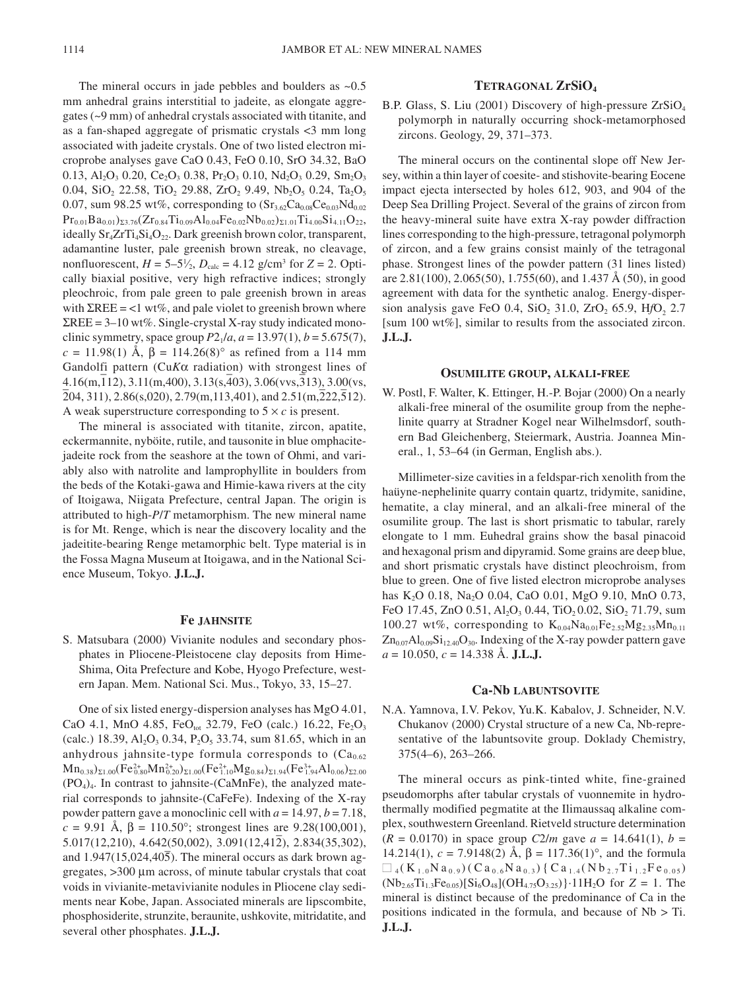The mineral occurs in jade pebbles and boulders as  $~0.5$ mm anhedral grains interstitial to jadeite, as elongate aggregates (~9 mm) of anhedral crystals associated with titanite, and as a fan-shaped aggregate of prismatic crystals <3 mm long associated with jadeite crystals. One of two listed electron microprobe analyses gave CaO 0.43, FeO 0.10, SrO 34.32, BaO 0.13, Al<sub>2</sub>O<sub>3</sub> 0.20, Ce<sub>2</sub>O<sub>3</sub> 0.38, Pr<sub>2</sub>O<sub>3</sub> 0.10, Nd<sub>2</sub>O<sub>3</sub> 0.29, Sm<sub>2</sub>O<sub>3</sub> 0.04, SiO<sub>2</sub> 22.58, TiO<sub>2</sub> 29.88, ZrO<sub>2</sub> 9.49, Nb<sub>2</sub>O<sub>5</sub> 0.24, Ta<sub>2</sub>O<sub>5</sub> 0.07, sum 98.25 wt%, corresponding to  $(Sr_{3.62}Ca_{0.08}Ce_{0.03}Nd_{0.02})$  $Pr_{0.01}Ba_{0.01}$ )  $_{23.76}(Zr_{0.84}Ti_{0.09}Al_{0.04}Fe_{0.02}Nb_{0.02})$   $_{21.01}Ti_{4.00}Si_{4.11}O_{22}$ ideally  $Sr_4ZrTi_4Si_4O_{22}$ . Dark greenish brown color, transparent, adamantine luster, pale greenish brown streak, no cleavage, nonfluorescent,  $H = 5-5\frac{1}{2}$ ,  $D_{\text{calc}} = 4.12$  g/cm<sup>3</sup> for  $Z = 2$ . Optically biaxial positive, very high refractive indices; strongly pleochroic, from pale green to pale greenish brown in areas with  $\SigmaREE = <1$  wt%, and pale violet to greenish brown where  $\Sigma$ REE = 3–10 wt%. Single-crystal X-ray study indicated monoclinic symmetry, space group  $P2_1/a$ ,  $a = 13.97(1)$ ,  $b = 5.675(7)$ , *c* = 11.98(1) Å, β = 114.26(8)° as refined from a 114 mm Gandolfi pattern (Cu*K*α radiation) with strongest lines of value of pattern (Curca Tauration) with strongest files of 4.16(m,112), 3.11(m,400), 3.13(s,403), 3.06(vvs,313), 3.00(vs,  $\frac{2}{2}$ (204, 311), 2.86(s,020), 2.79(m,113,401), and 2.51(m,222,512). A weak superstructure corresponding to  $5 \times c$  is present.

The mineral is associated with titanite, zircon, apatite, eckermannite, nyböite, rutile, and tausonite in blue omphacitejadeite rock from the seashore at the town of Ohmi, and variably also with natrolite and lamprophyllite in boulders from the beds of the Kotaki-gawa and Himie-kawa rivers at the city of Itoigawa, Niigata Prefecture, central Japan. The origin is attributed to high-*P*/*T* metamorphism. The new mineral name is for Mt. Renge, which is near the discovery locality and the jadeitite-bearing Renge metamorphic belt. Type material is in the Fossa Magna Museum at Itoigawa, and in the National Science Museum, Tokyo. **J.L.J.**

# **Fe JAHNSITE**

S. Matsubara (2000) Vivianite nodules and secondary phosphates in Pliocene-Pleistocene clay deposits from Hime-Shima, Oita Prefecture and Kobe, Hyogo Prefecture, western Japan. Mem. National Sci. Mus., Tokyo, 33, 15–27.

One of six listed energy-dispersion analyses has MgO 4.01, CaO 4.1, MnO 4.85, FeO<sub>tot</sub> 32.79, FeO (calc.) 16.22, Fe<sub>2</sub>O<sub>3</sub> (calc.) 18.39,  $Al_2O_3$  0.34,  $P_2O_5$  33.74, sum 81.65, which in an anhydrous jahnsite-type formula corresponds to  $(Ca_{0.62})$  $\rm Mn_{0.38})_{\Sigma1.00} (Fe^{2+}_{0.80}Mn^{2+}_{0.20})_{\Sigma1.00} (Fe^{2+}_{1.10}Mg_{0.84})_{\Sigma1.94} (Fe^{3+}_{1.94}Al_{0.06})_{\Sigma2.00}$  $(PO<sub>4</sub>)<sub>4</sub>$ . In contrast to jahnsite-(CaMnFe), the analyzed material corresponds to jahnsite-(CaFeFe). Indexing of the X-ray powder pattern gave a monoclinic cell with *a* = 14.97, *b* = 7.18, *c* = 9.91 Å, β = 110.50°; strongest lines are 9.28(100,001),  $\epsilon = 3.91$  A,  $p = 110.50$ , subagest lines are 3.28(100,001),<br>5.017(12,210), 4.642(50,002), 3.091(12,412), 2.834(35,302), and  $1.947(15,024,40\overline{5})$ . The mineral occurs as dark brown aggregates, >300 µm across, of minute tabular crystals that coat voids in vivianite-metavivianite nodules in Pliocene clay sediments near Kobe, Japan. Associated minerals are lipscombite, phosphosiderite, strunzite, beraunite, ushkovite, mitridatite, and several other phosphates. **J.L.J.**

#### **TETRAGONAL ZrSiO4**

B.P. Glass, S. Liu (2001) Discovery of high-pressure  $ZrSiO<sub>4</sub>$ polymorph in naturally occurring shock-metamorphosed zircons. Geology, 29, 371–373.

The mineral occurs on the continental slope off New Jersey, within a thin layer of coesite- and stishovite-bearing Eocene impact ejecta intersected by holes 612, 903, and 904 of the Deep Sea Drilling Project. Several of the grains of zircon from the heavy-mineral suite have extra X-ray powder diffraction lines corresponding to the high-pressure, tetragonal polymorph of zircon, and a few grains consist mainly of the tetragonal phase. Strongest lines of the powder pattern (31 lines listed) are 2.81(100), 2.065(50), 1.755(60), and 1.437 Å (50), in good agreement with data for the synthetic analog. Energy-dispersion analysis gave FeO 0.4, SiO<sub>2</sub> 31.0, ZrO<sub>2</sub> 65.9, HfO<sub>2</sub> 2.7 [sum 100 wt%], similar to results from the associated zircon. **J.L.J.**

#### **OSUMILITE GROUP, ALKALI-FREE**

W. Postl, F. Walter, K. Ettinger, H.-P. Bojar (2000) On a nearly alkali-free mineral of the osumilite group from the nephelinite quarry at Stradner Kogel near Wilhelmsdorf, southern Bad Gleichenberg, Steiermark, Austria. Joannea Mineral., 1, 53–64 (in German, English abs.).

Millimeter-size cavities in a feldspar-rich xenolith from the haüyne-nephelinite quarry contain quartz, tridymite, sanidine, hematite, a clay mineral, and an alkali-free mineral of the osumilite group. The last is short prismatic to tabular, rarely elongate to 1 mm. Euhedral grains show the basal pinacoid and hexagonal prism and dipyramid. Some grains are deep blue, and short prismatic crystals have distinct pleochroism, from blue to green. One of five listed electron microprobe analyses has K<sub>2</sub>O 0.18, Na<sub>2</sub>O 0.04, CaO 0.01, MgO 9.10, MnO 0.73, FeO 17.45, ZnO 0.51, Al<sub>2</sub>O<sub>3</sub> 0.44, TiO<sub>2</sub> 0.02, SiO<sub>2</sub> 71.79, sum 100.27 wt%, corresponding to  $K_{0.04}Na_{0.01}Fe_{2.52}Mg_{2.35}Mn_{0.11}$  $Zn_{0.07}Al_{0.09}Si_{12.40}O_{30}$ . Indexing of the X-ray powder pattern gave *a* = 10.050, *c* = 14.338 Å. **J.L.J.**

#### **Ca-Nb LABUNTSOVITE**

N.A. Yamnova, I.V. Pekov, Yu.K. Kabalov, J. Schneider, N.V. Chukanov (2000) Crystal structure of a new Ca, Nb-representative of the labuntsovite group. Doklady Chemistry, 375(4–6), 263–266.

The mineral occurs as pink-tinted white, fine-grained pseudomorphs after tabular crystals of vuonnemite in hydrothermally modified pegmatite at the Ilimaussaq alkaline complex, southwestern Greenland. Rietveld structure determination  $(R = 0.0170)$  in space group *C2/m* gave  $a = 14.641(1)$ ,  $b =$ 14.214(1),  $c = 7.9148(2)$  Å,  $β = 117.36(1)°$ , and the formula  $\Box$  4(K<sub>1.0</sub>N a<sub>0.9</sub>)(Ca<sub>0.6</sub>N a<sub>0.3</sub>){Ca<sub>1.4</sub>(Nb<sub>2.7</sub>Ti<sub>1.2</sub>Fe<sub>0.05</sub>)  $(Nb_{2.65}Ti_{1.3}Fe_{0.05})[Si_6O_{48}] (OH_{4.75}O_{3.25})\cdot 11H_2O$  for  $Z = 1$ . The mineral is distinct because of the predominance of Ca in the positions indicated in the formula, and because of Nb > Ti. **J.L.J.**